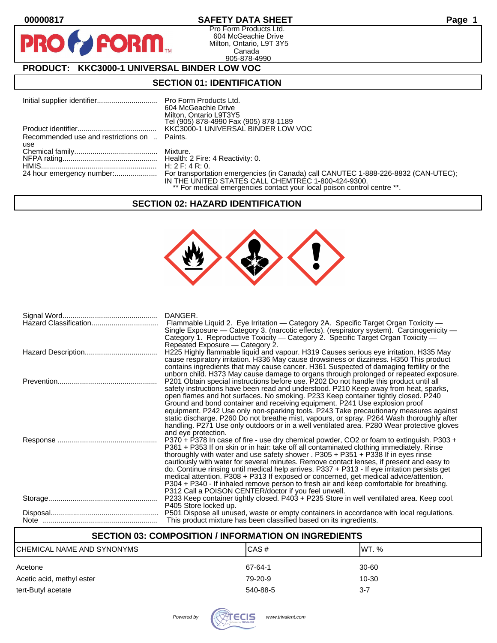$\bullet$ 

PR

# **00000817 SAFETY DATA SHEET Page 1**

Pro Form Products Ltd. 604 McGeachie Drive Milton, Ontario, L9T 3Y5 Canada 905-878-4990

# **PRODUCT: KKC3000-1 UNIVERSAL BINDER LOW VOC**

FORM.

#### **SECTION 01: IDENTIFICATION**

|                                              | 604 McGeachie Drive                                                                                                                                                |
|----------------------------------------------|--------------------------------------------------------------------------------------------------------------------------------------------------------------------|
|                                              | Milton, Ontario L9T3Y5<br>Tel (905) 878-4990 Fax (905) 878-1189                                                                                                    |
|                                              | KKC3000-1 UNIVERSAL BINDER LOW VOC                                                                                                                                 |
| Recommended use and restrictions on  Paints. |                                                                                                                                                                    |
| use                                          |                                                                                                                                                                    |
|                                              |                                                                                                                                                                    |
|                                              |                                                                                                                                                                    |
|                                              |                                                                                                                                                                    |
|                                              | 24 hour emergency number: For transportation emergencies (in Canada) call CANUTEC 1-888-226-8832 (CAN-UTEC);<br>IN THE UNITED STATES CALL CHEMTREC 1-800-424-9300. |
|                                              | ** For medical emergencies contact your local poison control centre **.                                                                                            |

#### **SECTION 02: HAZARD IDENTIFICATION**



| DANGER.<br>Flammable Liquid 2. Eye Irritation - Category 2A. Specific Target Organ Toxicity -<br>Single Exposure — Category 3. (narcotic effects). (respiratory system). Carcinogenicity —<br>Category 1. Reproductive Toxicity — Category 2. Specific Target Organ Toxicity —<br>Repeated Exposure – Category 2.                                                                                                                                                                                                                                                                                                                                                                                                  |
|--------------------------------------------------------------------------------------------------------------------------------------------------------------------------------------------------------------------------------------------------------------------------------------------------------------------------------------------------------------------------------------------------------------------------------------------------------------------------------------------------------------------------------------------------------------------------------------------------------------------------------------------------------------------------------------------------------------------|
| H225 Highly flammable liquid and vapour. H319 Causes serious eye irritation. H335 May<br>cause respiratory irritation. H336 May cause drowsiness or dizziness. H350 This product<br>contains ingredients that may cause cancer. H361 Suspected of damaging fertility or the<br>unborn child. H373 May cause damage to organs through prolonged or repeated exposure.                                                                                                                                                                                                                                                                                                                                               |
| P201 Obtain special instructions before use. P202 Do not handle this product until all<br>safety instructions have been read and understood. P210 Keep away from heat, sparks,<br>open flames and hot surfaces. No smoking. P233 Keep container tightly closed. P240<br>Ground and bond container and receiving equipment. P241 Use explosion proof<br>equipment. P242 Use only non-sparking tools. P243 Take precautionary measures against<br>static discharge. P260 Do not breathe mist, vapours, or spray. P264 Wash thoroughly after<br>handling. P271 Use only outdoors or in a well ventilated area. P280 Wear protective gloves<br>and eye protection.                                                     |
| P370 + P378 In case of fire - use dry chemical powder, CO2 or foam to extinguish. P303 +<br>P361 + P353 If on skin or in hair: take off all contaminated clothing immediately. Rinse<br>thoroughly with water and use safety shower . P305 + P351 + P338 If in eyes rinse<br>cautiously with water for several minutes. Remove contact lenses, if present and easy to<br>do. Continue rinsing until medical help arrives. P337 + P313 - If eye irritation persists get<br>medical attention. P308 + P313 If exposed or concerned, get medical advice/attention.<br>P304 + P340 - If inhaled remove person to fresh air and keep comfortable for breathing.<br>P312 Call a POISON CENTER/doctor if you feel unwell. |
| P233 Keep container tightly closed. P403 + P235 Store in well ventilated area. Keep cool.<br>P405 Store locked up.                                                                                                                                                                                                                                                                                                                                                                                                                                                                                                                                                                                                 |
| P501 Dispose all unused, waste or empty containers in accordance with local regulations.<br>This product mixture has been classified based on its ingredients.                                                                                                                                                                                                                                                                                                                                                                                                                                                                                                                                                     |

# **SECTION 03: COMPOSITION / INFORMATION ON INGREDIENTS**

| CHEMICAL NAME AND SYNONYMS | CAS#     | IWT. %  |
|----------------------------|----------|---------|
| Acetone                    | 67-64-1  | 30-60   |
| Acetic acid, methyl ester  | 79-20-9  | 10-30   |
| tert-Butyl acetate         | 540-88-5 | $3 - 7$ |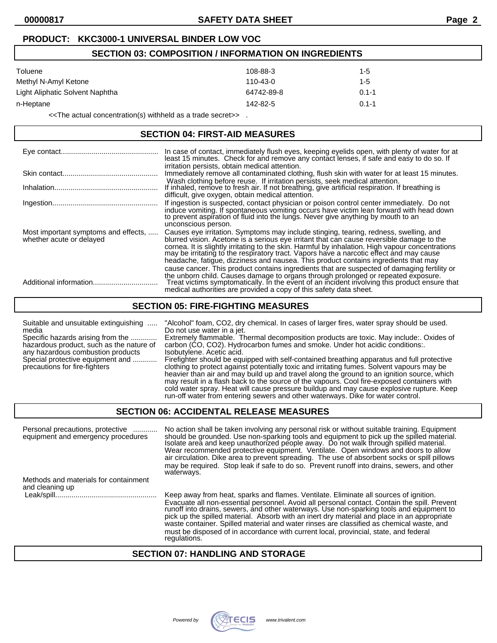# **PRODUCT: KKC3000-1 UNIVERSAL BINDER LOW VOC**

# **SECTION 03: COMPOSITION / INFORMATION ON INGREDIENTS**  $\Gamma$ oluene 108-88-3 108-88-3 108-88-3 108-88-3 108-88-3 108-88-3 108-88-3 108-88-3 108-Methyl N-Amyl Ketone 110-43-0 110-43-0 110-43-0 1-5 Light Aliphatic Solvent Naphtha **64742-89-8** 0.1-1 n-Heptane 142-82-5 0.1-1

<<The actual concentration(s) withheld as a trade secret>> .

#### **SECTION 04: FIRST-AID MEASURES**

|                                                                  | In case of contact, immediately flush eyes, keeping eyelids open, with plenty of water for at least 15 minutes. Check for and remove any contact lenses, if safe and easy to do so. If<br>irritation persists, obtain medical attention.                                                                                                                                                                                                                                 |
|------------------------------------------------------------------|--------------------------------------------------------------------------------------------------------------------------------------------------------------------------------------------------------------------------------------------------------------------------------------------------------------------------------------------------------------------------------------------------------------------------------------------------------------------------|
|                                                                  | Immediately remove all contaminated clothing, flush skin with water for at least 15 minutes.                                                                                                                                                                                                                                                                                                                                                                             |
|                                                                  | Wash clothing before reuse. If irritation persists, seek medical attention.<br>If inhaled, remove to fresh air. If not breathing, give artificial respiration. If breathing is<br>difficult, give oxygen, obtain medical attention.                                                                                                                                                                                                                                      |
|                                                                  | If ingestion is suspected, contact physician or poison control center immediately. Do not<br>induce vomiting. If spontaneous vomiting occurs have victim lean forward with head down<br>to prevent aspiration of fluid into the lungs. Never give anything by mouth to an<br>unconscious person.                                                                                                                                                                         |
| Most important symptoms and effects,<br>whether acute or delayed | Causes eye irritation. Symptoms may include stinging, tearing, redness, swelling, and<br>blurred vision. Acetone is a serious eye irritant that can cause reversible damage to the<br>cornea. It is slightly irritating to the skin. Harmful by inhalation. High vapour concentrations<br>may be irritating to the respiratory tract. Vapors have a narcotic effect and may cause<br>headache, fatigue, dizziness and nausea. This product contains ingredients that may |
|                                                                  | cause cancer. This product contains ingredients that are suspected of damaging fertility or<br>the unborn child. Causes damage to organs through prolonged or repeated exposure.<br>Treat victims symptomatically. In the event of an incident involving this product ensure that<br>medical authorities are provided a copy of this safety data sheet.                                                                                                                  |

#### **SECTION 05: FIRE-FIGHTING MEASURES**

#### Suitable and unsuitable extinguishing ..... "Alcohol" foam, CO2, dry chemical. In cases of larger fires, water spray should be used. media **Do not use water in a jet.** Specific hazards arising from the .............. Extremely flammable. Thermal decomposition products are toxic. May include:. Oxides of hazardous product, such as the nature of carbon (CO, CO2). Hydrocarbon fumes and smoke carbon (CO, CO2). Hydrocarbon fumes and smoke. Under hot acidic conditions:. any hazardous combustion products lsobutylene. Acetic acid. Special protective equipment and ............ Firefighter should be equipped with self-contained breathing apparatus and full protective precautions for fire-fighters clothing to protect against potentially toxic and irritating fumes. Solvent vapours may be heavier than air and may build up and travel along the ground to an ignition source, which may result in a flash back to the source of the vapours. Cool fire-exposed containers with cold water spray. Heat will cause pressure buildup and may cause explosive rupture. Keep

run-off water from entering sewers and other waterways. Dike for water control.

#### **SECTION 06: ACCIDENTAL RELEASE MEASURES**

| Personal precautions, protective<br>.<br>equipment and emergency procedures | No action shall be taken involving any personal risk or without suitable training. Equipment<br>should be grounded. Use non-sparking tools and equipment to pick up the spilled material.<br>Isolate areă and keep unauthorized people away. Do not walk through spilled material.<br>Wear recommended protective equipment. Ventilate. Open windows and doors to allow<br>air circulation. Dike area to prevent spreading. The use of absorbent socks or spill pillows<br>may be required. Stop leak if safe to do so. Prevent runoff into drains, sewers, and other<br>waterways. |
|-----------------------------------------------------------------------------|-------------------------------------------------------------------------------------------------------------------------------------------------------------------------------------------------------------------------------------------------------------------------------------------------------------------------------------------------------------------------------------------------------------------------------------------------------------------------------------------------------------------------------------------------------------------------------------|
| Methods and materials for containment                                       |                                                                                                                                                                                                                                                                                                                                                                                                                                                                                                                                                                                     |
| and cleaning up                                                             |                                                                                                                                                                                                                                                                                                                                                                                                                                                                                                                                                                                     |
|                                                                             | Keep away from heat, sparks and flames. Ventilate. Eliminate all sources of ignition.                                                                                                                                                                                                                                                                                                                                                                                                                                                                                               |
|                                                                             | Evacuate all non-essential personnel. Avoid all personal contact. Contain the spill. Prevent<br>runoff into drains, sewers, and other waterways. Use non-sparking tools and equipment to<br>pick up the spilled material. Absorb with an inert dry material and place in an appropriate<br>waste container. Spilled material and water rinses are classified as chemical waste, and<br>must be disposed of in accordance with current local, provincial, state, and federal                                                                                                         |

#### **SECTION 07: HANDLING AND STORAGE**

regulations.

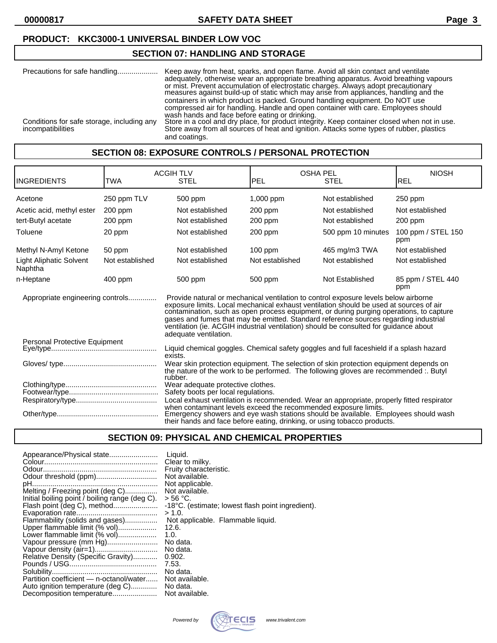**00000817 SAFETY DATA SHEET Page 3**

# **PRODUCT: KKC3000-1 UNIVERSAL BINDER LOW VOC**

#### **SECTION 07: HANDLING AND STORAGE**

| Precautions for safe handling              | Keep away from heat, sparks, and open flame. Avoid all skin contact and ventilate<br>adequately, otherwise wear an appropriate breathing apparatus. Avoid breathing vapours<br>or mist. Prevent accumulation of electrostatic charges. Always adopt precautionary measures against build-up of static which may arise from appliances, handling and the |
|--------------------------------------------|---------------------------------------------------------------------------------------------------------------------------------------------------------------------------------------------------------------------------------------------------------------------------------------------------------------------------------------------------------|
| Conditions for safe storage, including any | containers in which product is packed. Ground handling equipment. Do NOT use<br>compressed air for handling. Handle and open container with care. Employees should<br>wash hands and face before eating or drinking.<br>Store in a cool and dry place, for product integrity. Keep container closed when not in use.                                    |
| incompatibilities                          | Store away from all sources of heat and ignition. Attacks some types of rubber, plastics<br>and coatings.                                                                                                                                                                                                                                               |

# **SECTION 08: EXPOSURE CONTROLS / PERSONAL PROTECTION**

| <b>INGREDIENTS</b>                                                                                                                                                                                                                | <b>TWA</b>                                                               | <b>ACGIH TLV</b><br><b>STEL</b>                                                                                                                                                                                                                                                                                                                                                                                                                                                    | <b>OSHA PEL</b><br>PEL | <b>STEL</b>        | <b>NIOSH</b><br><b>REL</b> |
|-----------------------------------------------------------------------------------------------------------------------------------------------------------------------------------------------------------------------------------|--------------------------------------------------------------------------|------------------------------------------------------------------------------------------------------------------------------------------------------------------------------------------------------------------------------------------------------------------------------------------------------------------------------------------------------------------------------------------------------------------------------------------------------------------------------------|------------------------|--------------------|----------------------------|
| Acetone                                                                                                                                                                                                                           | 250 ppm TLV                                                              | 500 ppm                                                                                                                                                                                                                                                                                                                                                                                                                                                                            | $1,000$ ppm            | Not established    | $250$ ppm                  |
| Acetic acid, methyl ester                                                                                                                                                                                                         | 200 ppm                                                                  | Not established                                                                                                                                                                                                                                                                                                                                                                                                                                                                    | $200$ ppm              | Not established    | Not established            |
| tert-Butyl acetate                                                                                                                                                                                                                | 200 ppm                                                                  | Not established                                                                                                                                                                                                                                                                                                                                                                                                                                                                    | $200$ ppm              | Not established    | 200 ppm                    |
| Toluene                                                                                                                                                                                                                           | 20 ppm                                                                   | Not established                                                                                                                                                                                                                                                                                                                                                                                                                                                                    | 200 ppm                | 500 ppm 10 minutes | 100 ppm / STEL 150<br>ppm  |
| Methyl N-Amyl Ketone                                                                                                                                                                                                              | 50 ppm                                                                   | Not established                                                                                                                                                                                                                                                                                                                                                                                                                                                                    | $100$ ppm              | 465 mg/m3 TWA      | Not established            |
| Light Aliphatic Solvent<br>Naphtha                                                                                                                                                                                                | Not established                                                          | Not established                                                                                                                                                                                                                                                                                                                                                                                                                                                                    | Not established        | Not established    | Not established            |
| n-Heptane                                                                                                                                                                                                                         | $400$ ppm                                                                | 500 ppm                                                                                                                                                                                                                                                                                                                                                                                                                                                                            | 500 ppm                | Not Established    | 85 ppm / STEL 440<br>ppm   |
| Appropriate engineering controls                                                                                                                                                                                                  |                                                                          | Provide natural or mechanical ventilation to control exposure levels below airborne<br>exposure limits. Local mechanical exhaust ventilation should be used at sources of air<br>contamination, such as open process equipment, or during purging operations, to capture<br>gases and fumes that may be emitted. Standard reference sources regarding industrial<br>ventilation (ie. ACGIH industrial ventilation) should be consulted for guidance about<br>adequate ventilation. |                        |                    |                            |
| Liquid chemical goggles. Chemical safety goggles and full faceshield if a splash hazard<br>exists.                                                                                                                                |                                                                          |                                                                                                                                                                                                                                                                                                                                                                                                                                                                                    |                        |                    |                            |
|                                                                                                                                                                                                                                   |                                                                          | Wear skin protection equipment. The selection of skin protection equipment depends on<br>the nature of the work to be performed. The following gloves are recommended :. Butyl<br>rubber.                                                                                                                                                                                                                                                                                          |                        |                    |                            |
|                                                                                                                                                                                                                                   | Wear adequate protective clothes.<br>Safety boots per local regulations. |                                                                                                                                                                                                                                                                                                                                                                                                                                                                                    |                        |                    |                            |
|                                                                                                                                                                                                                                   |                                                                          | Local exhaust ventilation is recommended. Wear an appropriate, properly fitted respirator                                                                                                                                                                                                                                                                                                                                                                                          |                        |                    |                            |
| when contaminant levels exceed the recommended exposure limits.<br>Emergency showers and eye wash stations should be available. Employees should wash<br>their hands and face before eating, drinking, or using tobacco products. |                                                                          |                                                                                                                                                                                                                                                                                                                                                                                                                                                                                    |                        |                    |                            |

# **SECTION 09: PHYSICAL AND CHEMICAL PROPERTIES**

| Appearance/Physical state                      | Liquid.                                           |
|------------------------------------------------|---------------------------------------------------|
|                                                | Clear to milky.                                   |
|                                                | Fruity characteristic.                            |
| Odour threshold (ppm)                          | Not available.                                    |
|                                                | Not applicable.                                   |
| Melting / Freezing point (deg C)               | Not available.                                    |
| Initial boiling point / boiling range (deg C). | > 56 °C.                                          |
| Flash point (deg C), method                    | -18°C. (estimate; lowest flash point ingredient). |
|                                                | > 1.0.                                            |
| Flammability (solids and gases)                | Not applicable. Flammable liquid.                 |
| Upper flammable limit (% vol)                  | 12.6.                                             |
| Lower flammable limit (% vol)                  | 1.0.                                              |
| Vapour pressure (mm Hg)                        | No data.                                          |
|                                                | No data.                                          |
| Relative Density (Specific Gravity)            | 0.902.                                            |
|                                                | 7.53.                                             |
|                                                | No data.                                          |
| Partition coefficient - n-octanol/water        | Not available.                                    |
| Auto ignition temperature (deg C)              | No data.                                          |
|                                                | Not available.                                    |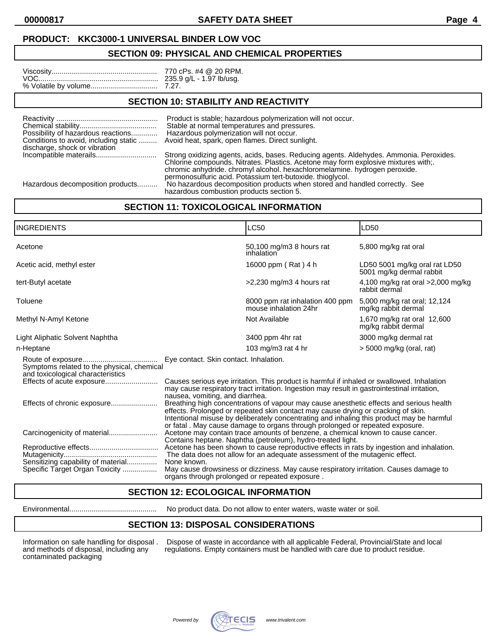**00000817 SAFETY DATA SHEET Page 4**

#### **PRODUCT: KKC3000-1 UNIVERSAL BINDER LOW VOC**

#### **SECTION 09: PHYSICAL AND CHEMICAL PROPERTIES**

#### **SECTION 10: STABILITY AND REACTIVITY**

| Possibility of hazardous reactions<br>discharge, shock or vibration | Product is stable; hazardous polymerization will not occur.<br>Stable at normal temperatures and pressures.<br>Hazardous polymerization will not occur.<br>Conditions to avoid, including static  Avoid heat, spark, open flames. Direct sunlight.                                                                       |
|---------------------------------------------------------------------|--------------------------------------------------------------------------------------------------------------------------------------------------------------------------------------------------------------------------------------------------------------------------------------------------------------------------|
|                                                                     | Strong oxidizing agents, acids, bases. Reducing agents. Aldehydes. Ammonia. Peroxides.<br>Chlorine compounds. Nitrates. Plastics. Acetone may form explosive mixtures with;.<br>chromic anhydride. chromyl alcohol. hexachloromelamine. hydrogen peroxide.<br>permonosulfuric acid. Potassium tert-butoxide. thioglycol. |
| Hazardous decomposition products                                    | No hazardous decomposition products when stored and handled correctly. See                                                                                                                                                                                                                                               |

hazardous combustion products section 5.

# **SECTION 11: TOXICOLOGICAL INFORMATION**

| <b>INGREDIENTS</b>                                                              |                                                                                                                                                                                                                                                                                                                                                                                                                                                                                                                                                                                            | <b>LC50</b>                                                                                                                                    | LD50                                                      |
|---------------------------------------------------------------------------------|--------------------------------------------------------------------------------------------------------------------------------------------------------------------------------------------------------------------------------------------------------------------------------------------------------------------------------------------------------------------------------------------------------------------------------------------------------------------------------------------------------------------------------------------------------------------------------------------|------------------------------------------------------------------------------------------------------------------------------------------------|-----------------------------------------------------------|
| Acetone                                                                         |                                                                                                                                                                                                                                                                                                                                                                                                                                                                                                                                                                                            | 50,100 mg/m3 8 hours rat<br>inhalation                                                                                                         | 5,800 mg/kg rat oral                                      |
| Acetic acid, methyl ester                                                       |                                                                                                                                                                                                                                                                                                                                                                                                                                                                                                                                                                                            | 16000 ppm (Rat) 4 h                                                                                                                            | LD50 5001 mg/kg oral rat LD50<br>5001 mg/kg dermal rabbit |
| tert-Butyl acetate                                                              |                                                                                                                                                                                                                                                                                                                                                                                                                                                                                                                                                                                            | $>2,230$ mg/m3 4 hours rat                                                                                                                     | 4,100 mg/kg rat oral $>2,000$ mg/kg<br>rabbit dermal      |
| Toluene                                                                         |                                                                                                                                                                                                                                                                                                                                                                                                                                                                                                                                                                                            | 8000 ppm rat inhalation 400 ppm<br>mouse inhalation 24hr                                                                                       | 5,000 mg/kg rat oral; 12,124<br>mg/kg rabbit dermal       |
| Methyl N-Amyl Ketone                                                            |                                                                                                                                                                                                                                                                                                                                                                                                                                                                                                                                                                                            | Not Available                                                                                                                                  | 1,670 mg/kg rat oral 12,600<br>mg/kg rabbit dermal        |
| Light Aliphatic Solvent Naphtha                                                 |                                                                                                                                                                                                                                                                                                                                                                                                                                                                                                                                                                                            | 3400 ppm 4hr rat                                                                                                                               | 3000 mg/kg dermal rat                                     |
| n-Heptane                                                                       |                                                                                                                                                                                                                                                                                                                                                                                                                                                                                                                                                                                            | 103 mg/m3 rat 4 hr                                                                                                                             | $>$ 5000 mg/kg (oral, rat)                                |
| Symptoms related to the physical, chemical<br>and toxicological characteristics | Eye contact. Skin contact. Inhalation.                                                                                                                                                                                                                                                                                                                                                                                                                                                                                                                                                     |                                                                                                                                                |                                                           |
| Effects of acute exposure                                                       | Causes serious eye irritation. This product is harmful if inhaled or swallowed. Inhalation<br>may cause respiratory tract irritation. Ingestion may result in gastrointestinal irritation,<br>nausea, vomiting, and diarrhea.<br>Breathing high concentrations of vapour may cause anesthetic effects and serious health<br>effects. Prolonged or repeated skin contact may cause drying or cracking of skin.<br>Intentional misuse by deliberately concentrating and inhaling this product may be harmful<br>or fatal. May cause damage to organs through prolonged or repeated exposure. |                                                                                                                                                |                                                           |
|                                                                                 |                                                                                                                                                                                                                                                                                                                                                                                                                                                                                                                                                                                            |                                                                                                                                                |                                                           |
|                                                                                 |                                                                                                                                                                                                                                                                                                                                                                                                                                                                                                                                                                                            | Acetone may contain trace amounts of benzene, a chemical known to cause cancer.<br>Contains heptane. Naphtha (petroleum), hydro-treated light. |                                                           |
| Sensitizing capability of material                                              | The data does not allow for an adequate assessment of the mutagenic effect.<br>None known.                                                                                                                                                                                                                                                                                                                                                                                                                                                                                                 |                                                                                                                                                |                                                           |
| Specific Target Organ Toxicity                                                  | organs through prolonged or repeated exposure.                                                                                                                                                                                                                                                                                                                                                                                                                                                                                                                                             | May cause drowsiness or dizziness. May cause respiratory irritation. Causes damage to                                                          |                                                           |

# **SECTION 12: ECOLOGICAL INFORMATION**

Environmental........................................... No product data. Do not allow to enter waters, waste water or soil.

# **SECTION 13: DISPOSAL CONSIDERATIONS**

contaminated packaging

Information on safe handling for disposal . Dispose of waste in accordance with all applicable Federal, Provincial/State and local and methods of disposal, including any regulations. Empty containers must be handled with c regulations. Empty containers must be handled with care due to product residue.